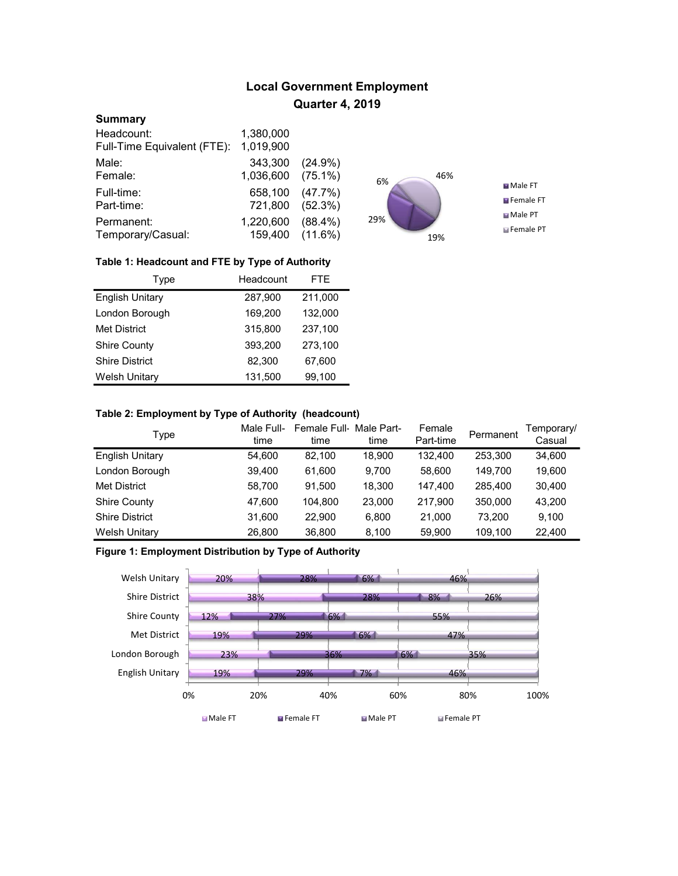# Local Government Employment Quarter 4, 2019

## **Summary**

| Headcount:                  | 1,380,000 |            |
|-----------------------------|-----------|------------|
| Full-Time Equivalent (FTE): | 1,019,900 |            |
| Male:                       | 343,300   | $(24.9\%)$ |
| Female:                     | 1,036,600 | $(75.1\%)$ |
| Full-time:                  | 658,100   | (47.7%     |
| Part-time:                  | 721,800   | (52.3%)    |
| Permanent:                  | 1,220,600 | $(88.4\%)$ |
| Temporary/Casual:           | 159,400   | $(11.6\%)$ |



## Table 1: Headcount and FTE by Type of Authority

| Type                   | Headcount | <b>FTE</b> |
|------------------------|-----------|------------|
| <b>English Unitary</b> | 287,900   | 211,000    |
| London Borough         | 169,200   | 132,000    |
| <b>Met District</b>    | 315,800   | 237,100    |
| <b>Shire County</b>    | 393.200   | 273,100    |
| <b>Shire District</b>  | 82,300    | 67,600     |
| <b>Welsh Unitary</b>   | 131,500   | 99.100     |

## Table 2: Employment by Type of Authority (headcount)

| Type                   | Male Full-<br>time | Female Full Male Part-<br>time | time   | Female<br>Part-time | Permanent | Temporary/<br>Casual |
|------------------------|--------------------|--------------------------------|--------|---------------------|-----------|----------------------|
| <b>English Unitary</b> | 54.600             | 82.100                         | 18,900 | 132.400             | 253.300   | 34,600               |
| London Borough         | 39,400             | 61.600                         | 9.700  | 58,600              | 149.700   | 19,600               |
| <b>Met District</b>    | 58,700             | 91.500                         | 18,300 | 147,400             | 285.400   | 30,400               |
| <b>Shire County</b>    | 47,600             | 104.800                        | 23,000 | 217.900             | 350,000   | 43,200               |
| <b>Shire District</b>  | 31,600             | 22.900                         | 6.800  | 21.000              | 73.200    | 9.100                |
| <b>Welsh Unitary</b>   | 26,800             | 36,800                         | 8,100  | 59,900              | 109,100   | 22,400               |

# Figure 1: Employment Distribution by Type of Authority